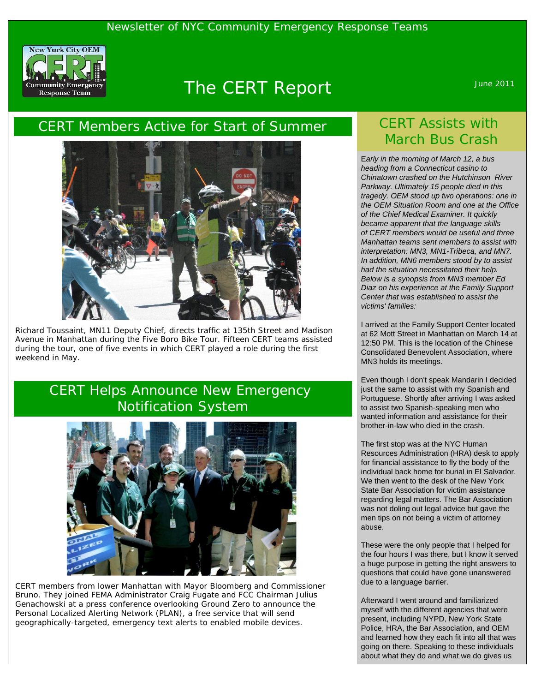

# The CERT Report Manual Assembly June 2011

#### CERT Members Active for Start of Summer



Richard Toussaint, MN11 Deputy Chief, directs traffic at 135th Street and Madison Avenue in Manhattan during the Five Boro Bike Tour. Fifteen CERT teams assisted during the tour, one of five events in which CERT played a role during the first weekend in May.

#### CERT Helps Announce New Emergency Notification System



CERT members from lower Manhattan with Mayor Bloomberg and Commissioner Bruno. They joined FEMA Administrator Craig Fugate and FCC Chairman Julius Genachowski at a press conference overlooking Ground Zero to announce the Personal Localized Alerting Network (PLAN), a free service that will send geographically-targeted, emergency text alerts to enabled mobile devices.

# CERT Assists with March Bus Crash

E*arly in the morning of March 12, a bus heading from a Connecticut casino to Chinatown crashed on the Hutchinson River Parkway. Ultimately 15 people died in this tragedy. OEM stood up two operations: one in the OEM Situation Room and one at the Office of the Chief Medical Examiner. It quickly became apparent that the language skills of CERT members would be useful and three Manhattan teams sent members to assist with interpretation: MN3, MN1-Tribeca, and MN7. In addition, MN6 members stood by to assist had the situation necessitated their help. Below is a synopsis from MN3 member Ed Diaz on his experience at the Family Support Center that was established to assist the victims' families:* 

I arrived at the Family Support Center located at 62 Mott Street in Manhattan on March 14 at 12:50 PM. This is the location of the Chinese Consolidated Benevolent Association, where MN3 holds its meetings.

Even though I don't speak Mandarin I decided just the same to assist with my Spanish and Portuguese. Shortly after arriving I was asked to assist two Spanish-speaking men who wanted information and assistance for their brother-in-law who died in the crash.

The first stop was at the NYC Human Resources Administration (HRA) desk to apply for financial assistance to fly the body of the individual back home for burial in El Salvador. We then went to the desk of the New York State Bar Association for victim assistance regarding legal matters. The Bar Association was not doling out legal advice but gave the men tips on not being a victim of attorney abuse.

These were the only people that I helped for the four hours I was there, but I know it served a huge purpose in getting the right answers to questions that could have gone unanswered due to a language barrier.

Afterward I went around and familiarized myself with the different agencies that were present, including NYPD, New York State Police, HRA, the Bar Association, and OEM and learned how they each fit into all that was going on there. Speaking to these individuals about what they do and what we do gives us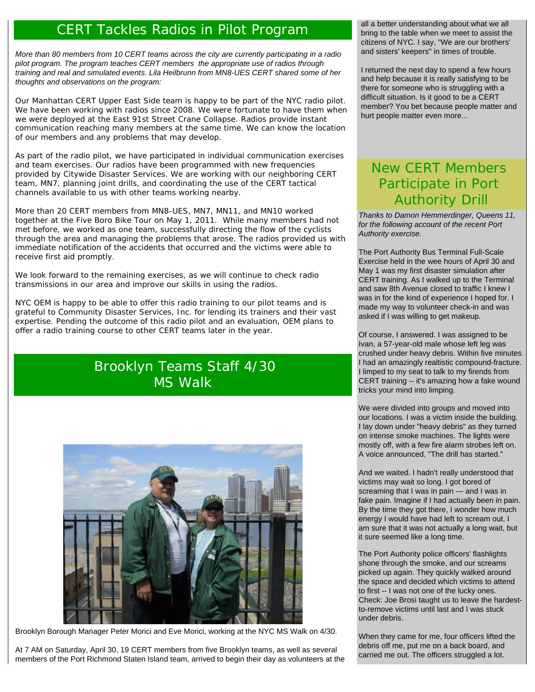#### CERT Tackles Radios in Pilot Program

*More than 80 members from 10 CERT teams across the city are currently participating in a radio pilot program. The program teaches CERT members the appropriate use of radios through training and real and simulated events. Lila Heilbrunn from MN8-UES CERT shared some of her thoughts and observations on the program:* 

Our Manhattan CERT Upper East Side team is happy to be part of the NYC radio pilot. We have been working with radios since 2008. We were fortunate to have them when we were deployed at the East 91st Street Crane Collapse. Radios provide instant communication reaching many members at the same time. We can know the location of our members and any problems that may develop.

As part of the radio pilot, we have participated in individual communication exercises and team exercises. Our radios have been programmed with new frequencies provided by Citywide Disaster Services. We are working with our neighboring CERT team, MN7, planning joint drills, and coordinating the use of the CERT tactical channels available to us with other teams working nearby.

More than 20 CERT members from MN8-UES, MN7, MN11, and MN10 worked together at the Five Boro Bike Tour on May 1, 2011. While many members had not met before, we worked as one team, successfully directing the flow of the cyclists through the area and managing the problems that arose. The radios provided us with immediate notification of the accidents that occurred and the victims were able to receive first aid promptly.

We look forward to the remaining exercises, as we will continue to check radio transmissions in our area and improve our skills in using the radios.

*NYC OEM is happy to be able to offer this radio training to our pilot teams and is grateful to Community Disaster Services, Inc. for lending its trainers and their vast expertise. Pending the outcome of this radio pilot and an evaluation, OEM plans to offer a radio training course to other CERT teams later in the year.*

# Brooklyn Teams Staff 4/30 MS Walk



Brooklyn Borough Manager Peter Morici and Eve Morici, working at the NYC MS Walk on 4/30.

At 7 AM on Saturday, April 30, 19 CERT members from five Brooklyn teams, as well as several members of the Port Richmond Staten Island team, arrived to begin their day as volunteers at the all a better understanding about what we all bring to the table when we meet to assist the citizens of NYC. I say, "We are our brothers' and sisters' keepers" in times of trouble.

I returned the next day to spend a few hours and help because it is really satisfying to be there for someone who is struggling with a difficult situation. Is it good to be a CERT member? You bet because people matter and hurt people matter even more...

# New CERT Members Participate in Port Authority Drill

*Thanks to Damon Hemmerdinger, Queens 11, for the following account of the recent Port Authority exercise.* 

The Port Authority Bus Terminal Full-Scale Exercise held in the wee hours of April 30 and May 1 was my first disaster simulation after CERT training. As I walked up to the Terminal and saw 8th Avenue closed to traffic I knew I was in for the kind of experience I hoped for. I made my way to volunteer check-in and was asked if I was willing to get makeup.

Of course, I answered. I was assigned to be Ivan, a 57-year-old male whose left leg was crushed under heavy debris. Within five minutes I had an amazingly realtistic compound-fracture. I limped to my seat to talk to my firends from CERT training -- it's amazing how a fake wound tricks your mind into limping.

We were divided into groups and moved into our locations. I was a victim inside the building. I lay down under "heavy debris" as they turned on intense smoke machines. The lights were mostly off, with a few fire alarm strobes left on. A voice announced, "The drill has started."

And we waited. I hadn't really understood that victims may wait so long. I got bored of screaming that I was in pain --- and I was in fake pain. Imagine if I had actually been in pain. By the time they got there, I wonder how much energy I would have had left to scream out. I am sure that it was not actually a long wait, but it sure seemed like a long time.

The Port Authority police officers' flashlights shone through the smoke, and our screams picked up again. They quickly walked around the space and decided which victims to attend to first -- I was not one of the lucky ones. Check: Joe Brosi taught us to leave the hardestto-remove victims until last and I was stuck under debris.

When they came for me, four officers lifted the debris off me, put me on a back board, and carried me out. The officers struggled a lot.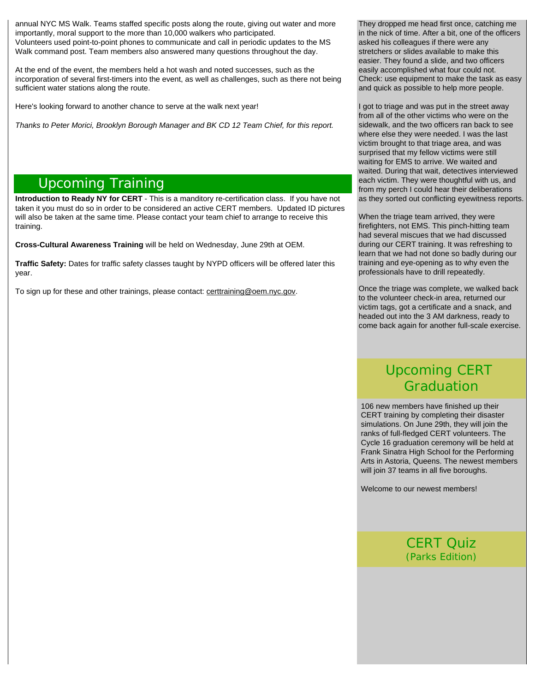annual NYC MS Walk. Teams staffed specific posts along the route, giving out water and more importantly, moral support to the more than 10,000 walkers who participated. Volunteers used point-to-point phones to communicate and call in periodic updates to the MS Walk command post. Team members also answered many questions throughout the day.

At the end of the event, the members held a hot wash and noted successes, such as the incorporation of several first-timers into the event, as well as challenges, such as there not being sufficient water stations along the route.

Here's looking forward to another chance to serve at the walk next year!

*Thanks to Peter Morici, Brooklyn Borough Manager and BK CD 12 Team Chief, for this report.* 

#### Upcoming Training

**Introduction to Ready NY for CERT** - This is a manditory re-certification class. If you have not taken it you must do so in order to be considered an active CERT members. Updated ID pictures will also be taken at the same time. Please contact your team chief to arrange to receive this training.

**Cross-Cultural Awareness Training** will be held on Wednesday, June 29th at OEM.

**Traffic Safety:** Dates for traffic safety classes taught by NYPD officers will be offered later this year.

To sign up for these and other trainings, please contact: [certtraining@oem.nyc.gov](mailto:certtraining@oem.nyc.gov).

They dropped me head first once, catching me in the nick of time. After a bit, one of the officers asked his colleagues if there were any stretchers or slides available to make this easier. They found a slide, and two officers easily accomplished what four could not. Check: use equipment to make the task as easy and quick as possible to help more people.

I got to triage and was put in the street away from all of the other victims who were on the sidewalk, and the two officers ran back to see where else they were needed. I was the last victim brought to that triage area, and was surprised that my fellow victims were still waiting for EMS to arrive. We waited and waited. During that wait, detectives interviewed each victim. They were thoughtful with us, and from my perch I could hear their deliberations as they sorted out conflicting eyewitness reports.

When the triage team arrived, they were firefighters, not EMS. This pinch-hitting team had several miscues that we had discussed during our CERT training. It was refreshing to learn that we had not done so badly during our training and eye-opening as to why even the professionals have to drill repeatedly.

Once the triage was complete, we walked back to the volunteer check-in area, returned our victim tags, got a certificate and a snack, and headed out into the 3 AM darkness, ready to come back again for another full-scale exercise.

# Upcoming CERT Graduation

106 new members have finished up their CERT training by completing their disaster simulations. On June 29th, they will join the ranks of full-fledged CERT volunteers. The Cycle 16 graduation ceremony will be held at Frank Sinatra High School for the Performing Arts in Astoria, Queens. The newest members will join 37 teams in all five boroughs.

Welcome to our newest members!

CERT Quiz (Parks Edition)